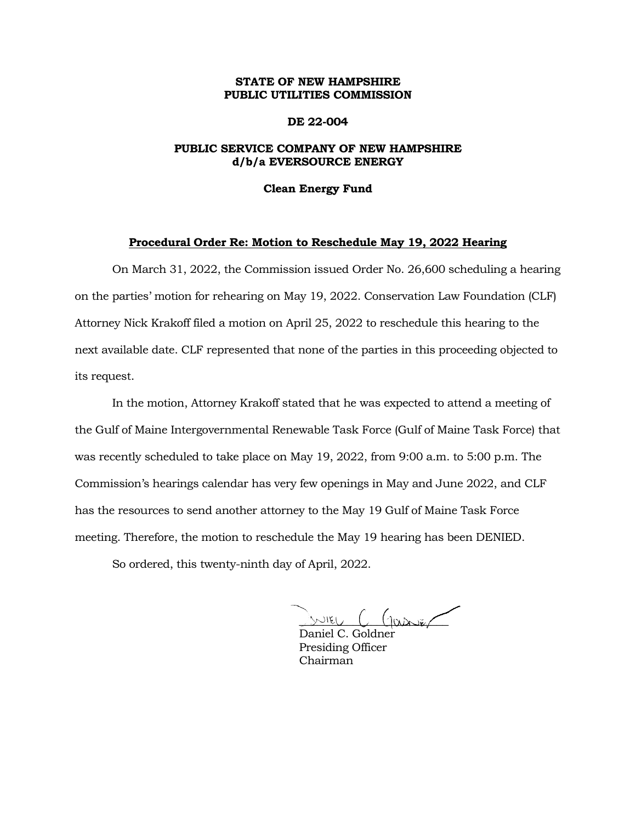## **STATE OF NEW HAMPSHIRE PUBLIC UTILITIES COMMISSION**

## **DE 22-004**

# **PUBLIC SERVICE COMPANY OF NEW HAMPSHIRE d/b/a EVERSOURCE ENERGY**

#### **Clean Energy Fund**

### **Procedural Order Re: Motion to Reschedule May 19, 2022 Hearing**

On March 31, 2022, the Commission issued Order No. 26,600 scheduling a hearing on the parties' motion for rehearing on May 19, 2022. Conservation Law Foundation (CLF) Attorney Nick Krakoff filed a motion on April 25, 2022 to reschedule this hearing to the next available date. CLF represented that none of the parties in this proceeding objected to its request.

In the motion, Attorney Krakoff stated that he was expected to attend a meeting of the Gulf of Maine Intergovernmental Renewable Task Force (Gulf of Maine Task Force) that was recently scheduled to take place on May 19, 2022, from 9:00 a.m. to 5:00 p.m. The Commission's hearings calendar has very few openings in May and June 2022, and CLF has the resources to send another attorney to the May 19 Gulf of Maine Task Force meeting. Therefore, the motion to reschedule the May 19 hearing has been DENIED.

So ordered, this twenty-ninth day of April, 2022.

 $\sim$  12  $C$  (passer

Daniel C. Goldner Presiding Officer Chairman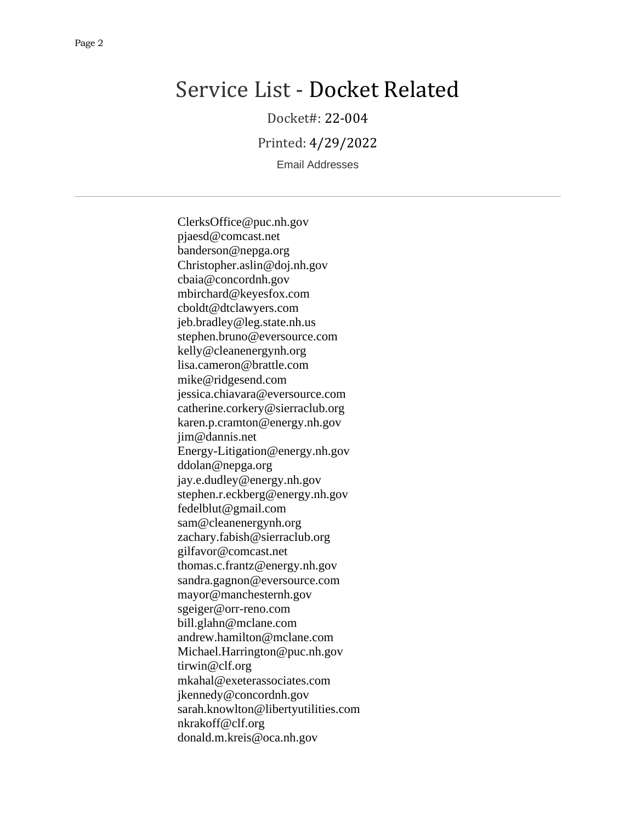# Service List - Docket Related

Docket#: 22-004

Printed: 4/29/2022

Email Addresses

ClerksOffice@puc.nh.gov pjaesd@comcast.net banderson@nepga.org Christopher.aslin@doj.nh.gov cbaia@concordnh.gov mbirchard@keyesfox.com cboldt@dtclawyers.com jeb.bradley@leg.state.nh.us stephen.bruno@eversource.com kelly@cleanenergynh.org lisa.cameron@brattle.com mike@ridgesend.com jessica.chiavara@eversource.com catherine.corkery@sierraclub.org karen.p.cramton@energy.nh.gov jim@dannis.net Energy-Litigation@energy.nh.gov ddolan@nepga.org jay.e.dudley@energy.nh.gov stephen.r.eckberg@energy.nh.gov fedelblut@gmail.com sam@cleanenergynh.org zachary.fabish@sierraclub.org gilfavor@comcast.net thomas.c.frantz@energy.nh.gov sandra.gagnon@eversource.com mayor@manchesternh.gov sgeiger@orr-reno.com bill.glahn@mclane.com andrew.hamilton@mclane.com Michael.Harrington@puc.nh.gov tirwin@clf.org mkahal@exeterassociates.com jkennedy@concordnh.gov sarah.knowlton@libertyutilities.com nkrakoff@clf.org donald.m.kreis@oca.nh.gov